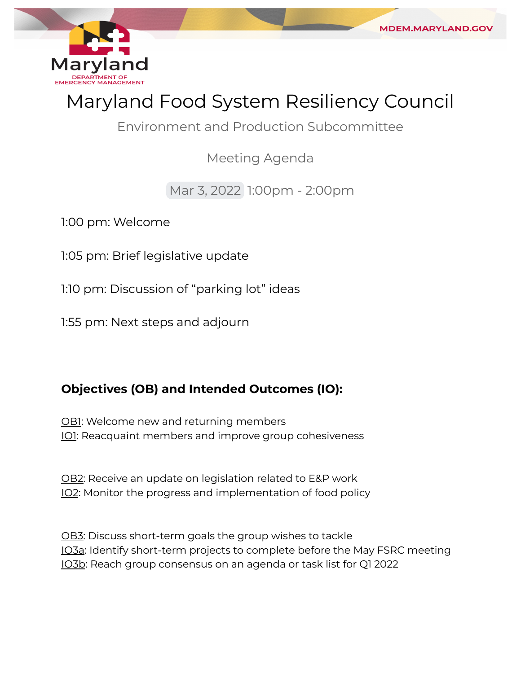

# Maryland Food System Resiliency Council

**MDEM.MARYLAND.GC** 

Environment and Production Subcommittee

Meeting Agenda

## Mar 3, 2022 1:00pm - 2:00pm

1:00 pm: Welcome

1:05 pm: Brief legislative update

1:10 pm: Discussion of "parking lot" ideas

1:55 pm: Next steps and adjourn

## **Objectives (OB) and Intended Outcomes (IO):**

<u>OB1</u>: Welcome new and returning members <u>IO1</u>: Reacquaint members and improve group cohesiveness

<u>OB2</u>: Receive an update on legislation related to E&P work <u>IO2</u>: Monitor the progress and implementation of food policy

<u>OB3</u>: Discuss short-term goals the group wishes to tackle <u>IO3a</u>: Identify short-term projects to complete before the May FSRC meeting IO3b: Reach group consensus on an agenda or task list for Q1 2022